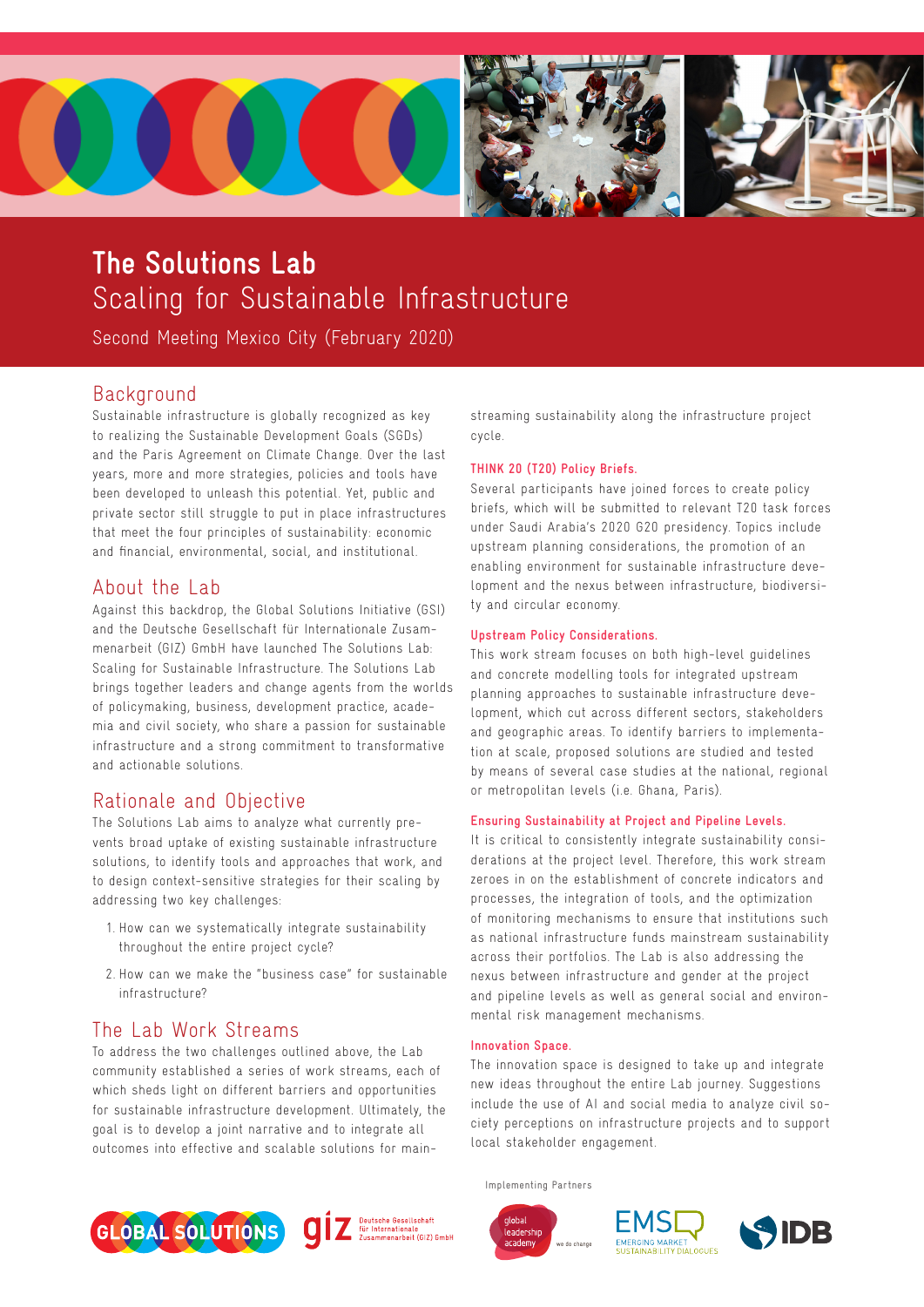

# **The Solutions Lab**  Scaling for Sustainable Infrastructure

Second Meeting Mexico City (February 2020)

# **Background**

Sustainable infrastructure is globally recognized as key to realizing the Sustainable Development Goals (SGDs) and the Paris Agreement on Climate Change. Over the last years, more and more strategies, policies and tools have been developed to unleash this potential. Yet, public and private sector still struggle to put in place infrastructures that meet the four principles of sustainability: economic and financial, environmental, social, and institutional.

# About the Lab

Against this backdrop, the Global Solutions Initiative (GSI) and the Deutsche Gesellschaft für Internationale Zusammenarbeit (GIZ) GmbH have launched The Solutions Lab: Scaling for Sustainable Infrastructure. The Solutions Lab brings together leaders and change agents from the worlds of policymaking, business, development practice, academia and civil society, who share a passion for sustainable infrastructure and a strong commitment to transformative and actionable solutions.

# Rationale and Objective

The Solutions Lab aims to analyze what currently prevents broad uptake of existing sustainable infrastructure solutions, to identify tools and approaches that work, and to design context-sensitive strategies for their scaling by addressing two key challenges:

- 1. How can we systematically integrate sustainability throughout the entire project cycle?
- 2. How can we make the "business case" for sustainable infrastructure?

# The Lab Work Streams

To address the two challenges outlined above, the Lab community established a series of work streams, each of which sheds light on different barriers and opportunities for sustainable infrastructure development. Ultimately, the goal is to develop a joint narrative and to integrate all outcomes into effective and scalable solutions for main-





streaming sustainability along the infrastructure project cycle.

### **THINK 20 (T20) Policy Briefs.**

Several participants have joined forces to create policy briefs, which will be submitted to relevant T20 task forces under Saudi Arabia's 2020 G20 presidency. Topics include upstream planning considerations, the promotion of an enabling environment for sustainable infrastructure development and the nexus between infrastructure, biodiversity and circular economy.

### **Upstream Policy Considerations.**

This work stream focuses on both high-level guidelines and concrete modelling tools for integrated upstream planning approaches to sustainable infrastructure development, which cut across different sectors, stakeholders and geographic areas. To identify barriers to implementation at scale, proposed solutions are studied and tested by means of several case studies at the national, regional or metropolitan levels (i.e. Ghana, Paris).

#### **Ensuring Sustainability at Project and Pipeline Levels.**

It is critical to consistently integrate sustainability considerations at the project level. Therefore, this work stream zeroes in on the establishment of concrete indicators and processes, the integration of tools, and the optimization of monitoring mechanisms to ensure that institutions such as national infrastructure funds mainstream sustainability across their portfolios. The Lab is also addressing the nexus between infrastructure and gender at the project and pipeline levels as well as general social and environmental risk management mechanisms.

#### **Innovation Space.**

The innovation space is designed to take up and integrate new ideas throughout the entire Lab journey. Suggestions include the use of AI and social media to analyze civil society perceptions on infrastructure projects and to support local stakeholder engagement.

Implementing Partners